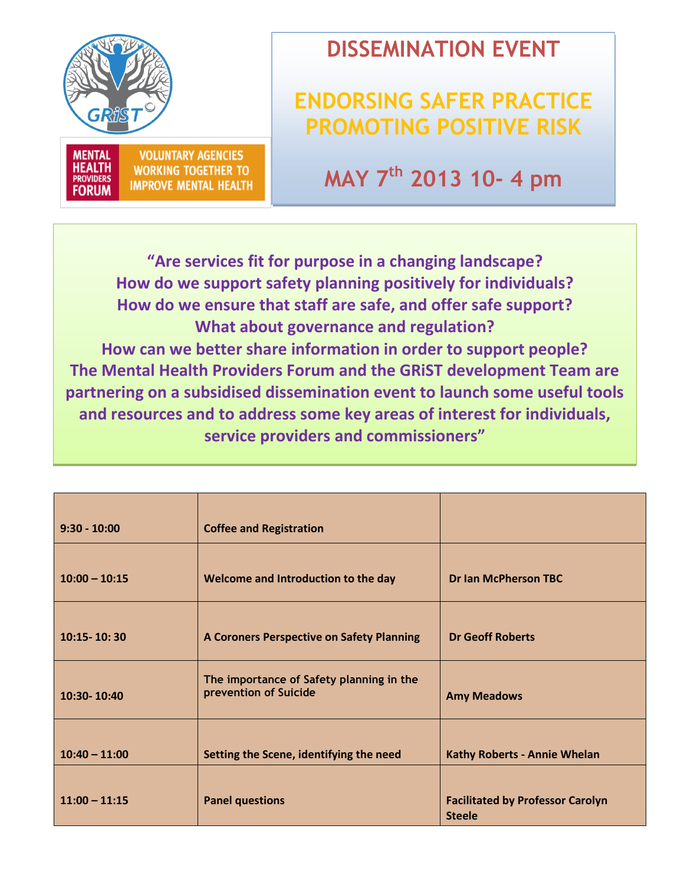

**MENTAL HEALTH** 

**PROVIDERS** 

**FORUM** 

**VOLUNTARY AGENCIES** 

**WORKING TOGETHER TO** 

**IMPROVE MENTAL HEALTH** 



## **ENDORSING SAFER PRACTICE PROMOTING POSITIVE RISK**

**MAY 7th 2013 10- 4 pm**

**"Are services fit for purpose in a changing landscape? How do we support safety planning positively for individuals? How do we ensure that staff are safe, and offer safe support? What about governance and regulation? How can we better share information in order to support people? The Mental Health Providers Forum and the GRiST development Team are partnering on a subsidised dissemination event to launch some useful tools and resources and to address some key areas of interest for individuals, service providers and commissioners"**

ļ,

| $9:30 - 10:00$  | <b>Coffee and Registration</b>                                    |                                                          |  |  |
|-----------------|-------------------------------------------------------------------|----------------------------------------------------------|--|--|
| $10:00 - 10:15$ | Welcome and Introduction to the day                               | <b>Dr Ian McPherson TBC</b>                              |  |  |
| 10:15-10:30     | A Coroners Perspective on Safety Planning                         | <b>Dr Geoff Roberts</b>                                  |  |  |
| 10:30-10:40     | The importance of Safety planning in the<br>prevention of Suicide | <b>Amy Meadows</b>                                       |  |  |
| $10:40 - 11:00$ | Setting the Scene, identifying the need                           | <b>Kathy Roberts - Annie Whelan</b>                      |  |  |
| $11:00 - 11:15$ | <b>Panel questions</b>                                            | <b>Facilitated by Professor Carolyn</b><br><b>Steele</b> |  |  |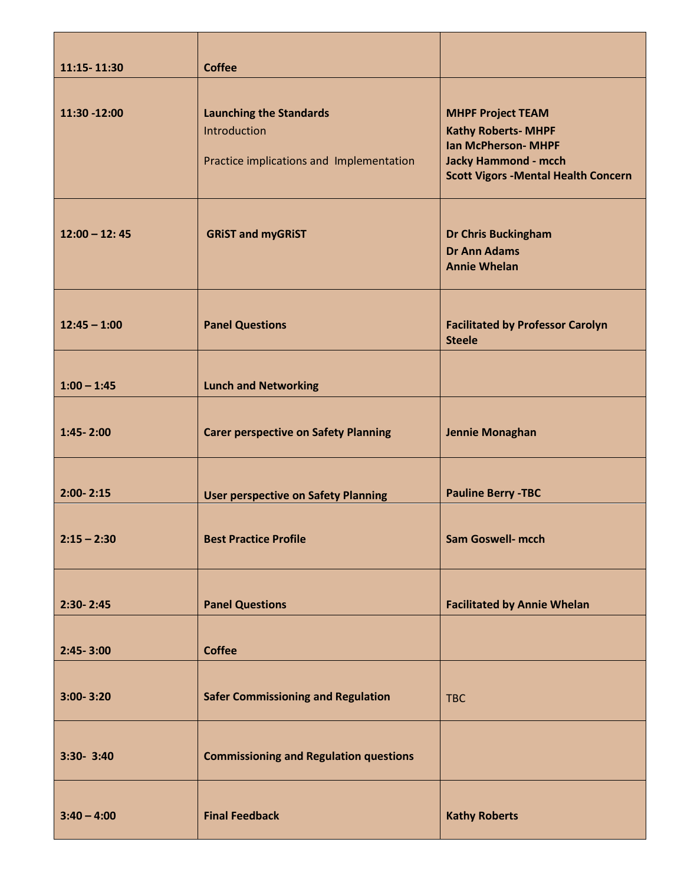| 11:15-11:30     | <b>Coffee</b>                                                                              |                                                                                                                                                                    |  |  |
|-----------------|--------------------------------------------------------------------------------------------|--------------------------------------------------------------------------------------------------------------------------------------------------------------------|--|--|
| 11:30 -12:00    | <b>Launching the Standards</b><br>Introduction<br>Practice implications and Implementation | <b>MHPF Project TEAM</b><br><b>Kathy Roberts- MHPF</b><br><b>Ian McPherson- MHPF</b><br><b>Jacky Hammond - mcch</b><br><b>Scott Vigors - Mental Health Concern</b> |  |  |
| $12:00 - 12:45$ | <b>GRIST and myGRIST</b>                                                                   | <b>Dr Chris Buckingham</b><br><b>Dr Ann Adams</b><br><b>Annie Whelan</b>                                                                                           |  |  |
| $12:45 - 1:00$  | <b>Panel Questions</b>                                                                     | <b>Facilitated by Professor Carolyn</b><br><b>Steele</b>                                                                                                           |  |  |
| $1:00 - 1:45$   | <b>Lunch and Networking</b>                                                                |                                                                                                                                                                    |  |  |
| 1:45-2:00       | <b>Carer perspective on Safety Planning</b>                                                | <b>Jennie Monaghan</b>                                                                                                                                             |  |  |
| $2:00 - 2:15$   | <b>User perspective on Safety Planning</b>                                                 | <b>Pauline Berry -TBC</b>                                                                                                                                          |  |  |
| $2:15 - 2:30$   | <b>Best Practice Profile</b>                                                               | <b>Sam Goswell- mcch</b>                                                                                                                                           |  |  |
| $2:30 - 2:45$   | <b>Panel Questions</b>                                                                     | <b>Facilitated by Annie Whelan</b>                                                                                                                                 |  |  |
| $2:45 - 3:00$   | <b>Coffee</b>                                                                              |                                                                                                                                                                    |  |  |
| $3:00 - 3:20$   | <b>Safer Commissioning and Regulation</b>                                                  | <b>TBC</b>                                                                                                                                                         |  |  |
| 3:30- 3:40      | <b>Commissioning and Regulation questions</b>                                              |                                                                                                                                                                    |  |  |
| $3:40 - 4:00$   | <b>Final Feedback</b>                                                                      | <b>Kathy Roberts</b>                                                                                                                                               |  |  |